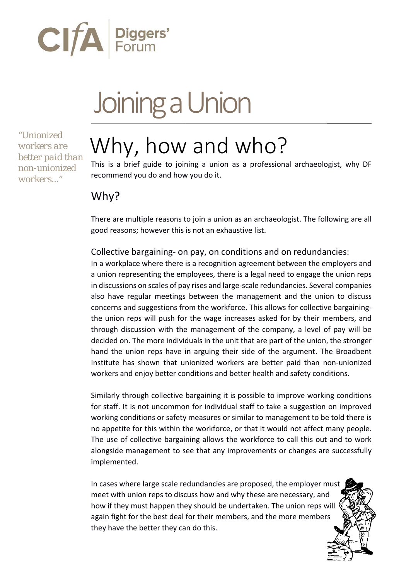

# Joining a Union

*"Unionized workers are better paid than non-unionized workers..."*

# Why, how and who?

This is a brief guide to joining a union as a professional archaeologist, why DF recommend you do and how you do it.

# Why?

There are multiple reasons to join a union as an archaeologist. The following are all good reasons; however this is not an exhaustive list.

Collective bargaining- on pay, on conditions and on redundancies:

In a workplace where there is a recognition agreement between the employers and a union representing the employees, there is a legal need to engage the union reps in discussions on scales of pay rises and large-scale redundancies. Several companies also have regular meetings between the management and the union to discuss concerns and suggestions from the workforce. This allows for collective bargainingthe union reps will push for the wage increases asked for by their members, and through discussion with the management of the company, a level of pay will be decided on. The more individuals in the unit that are part of the union, the stronger hand the union reps have in arguing their side of the argument. The Broadbent Institute has shown that unionized workers are better paid than non-unionized workers and enjoy better conditions and better health and safety conditions.

Similarly through collective bargaining it is possible to improve working conditions for staff. It is not uncommon for individual staff to take a suggestion on improved working conditions or safety measures or similar to management to be told there is no appetite for this within the workforce, or that it would not affect many people. The use of collective bargaining allows the workforce to call this out and to work alongside management to see that any improvements or changes are successfully implemented.

In cases where large scale redundancies are proposed, the employer must meet with union reps to discuss how and why these are necessary, and how if they must happen they should be undertaken. The union reps will again fight for the best deal for their members, and the more members they have the better they can do this.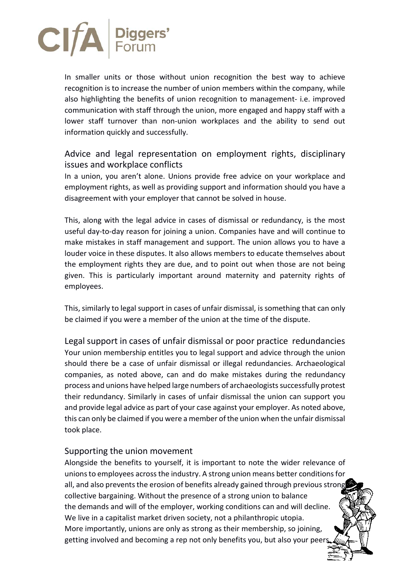

In smaller units or those without union recognition the best way to achieve recognition is to increase the number of union members within the company, while also highlighting the benefits of union recognition to management- i.e. improved communication with staff through the union, more engaged and happy staff with a lower staff turnover than non-union workplaces and the ability to send out information quickly and successfully.

#### Advice and legal representation on employment rights, disciplinary issues and workplace conflicts

In a union, you aren't alone. Unions provide free advice on your workplace and employment rights, as well as providing support and information should you have a disagreement with your employer that cannot be solved in house.

This, along with the legal advice in cases of dismissal or redundancy, is the most useful day-to-day reason for joining a union. Companies have and will continue to make mistakes in staff management and support. The union allows you to have a louder voice in these disputes. It also allows members to educate themselves about the employment rights they are due, and to point out when those are not being given. This is particularly important around maternity and paternity rights of employees.

This, similarly to legal support in cases of unfair dismissal, is something that can only be claimed if you were a member of the union at the time of the dispute.

Legal support in cases of unfair dismissal or poor practice redundancies Your union membership entitles you to legal support and advice through the union should there be a case of unfair dismissal or illegal redundancies. Archaeological companies, as noted above, can and do make mistakes during the redundancy process and unions have helped large numbers of archaeologists successfully protest their redundancy. Similarly in cases of unfair dismissal the union can support you and provide legal advice as part of your case against your employer. As noted above, this can only be claimed if you were a member of the union when the unfair dismissal took place.

#### Supporting the union movement

Alongside the benefits to yourself, it is important to note the wider relevance of unions to employees across the industry. A strong union means better conditions for all, and also prevents the erosion of benefits already gained through previous strong collective bargaining. Without the presence of a strong union to balance the demands and will of the employer, working conditions can and will decline. We live in a capitalist market driven society, not a philanthropic utopia. More importantly, unions are only as strong as their membership, so joining, getting involved and becoming a rep not only benefits you, but also your peer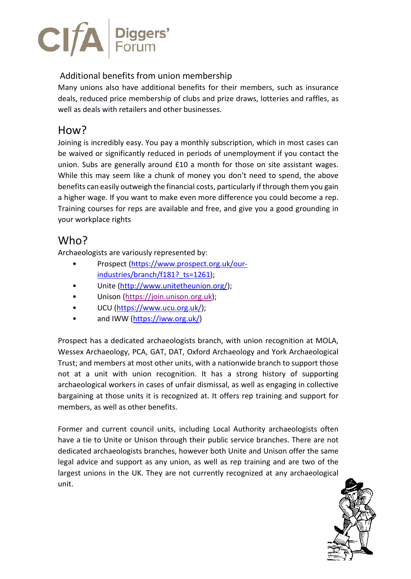

#### Additional benefits from union membership

Many unions also have additional benefits for their members, such as insurance deals, reduced price membership of clubs and prize draws, lotteries and raffles, as well as deals with retailers and other businesses.

## How?

Joining is incredibly easy. You pay a monthly subscription, which in most cases can be waived or significantly reduced in periods of unemployment if you contact the union. Subs are generally around £10 a month for those on site assistant wages. While this may seem like a chunk of money you don't need to spend, the above benefits can easily outweigh the financial costs, particularly if through them you gain a higher wage. If you want to make even more difference you could become a rep. Training courses for reps are available and free, and give you a good grounding in your workplace rights

### Who?

Archaeologists are variously represented by:

- Prospect [\(https://www.prospect.org.uk/our](https://www.prospect.org.uk/our-industries/branch/f181?_ts=1261)industries/branch/f181? ts=1261);
- Unite [\(http://www.unitetheunion.org/\)](http://www.unitetheunion.org/);
- Unison [\(https://join.unison.org.uk\)](https://join.unison.org.uk/);
- UCU [\(https://www.ucu.org.uk/\)](https://www.ucu.org.uk/);
- and IWW [\(https://iww.org.uk/\)](https://iww.org.uk/)

Prospect has a dedicated archaeologists branch, with union recognition at MOLA, Wessex Archaeology, PCA, GAT, DAT, Oxford Archaeology and York Archaeological Trust; and members at most other units, with a nationwide branch to support those not at a unit with union recognition. It has a strong history of supporting archaeological workers in cases of unfair dismissal, as well as engaging in collective bargaining at those units it is recognized at. It offers rep training and support for members, as well as other benefits.

Former and current council units, including Local Authority archaeologists often have a tie to Unite or Unison through their public service branches. There are not dedicated archaeologists branches, however both Unite and Unison offer the same legal advice and support as any union, as well as rep training and are two of the largest unions in the UK. They are not currently recognized at any archaeological unit.